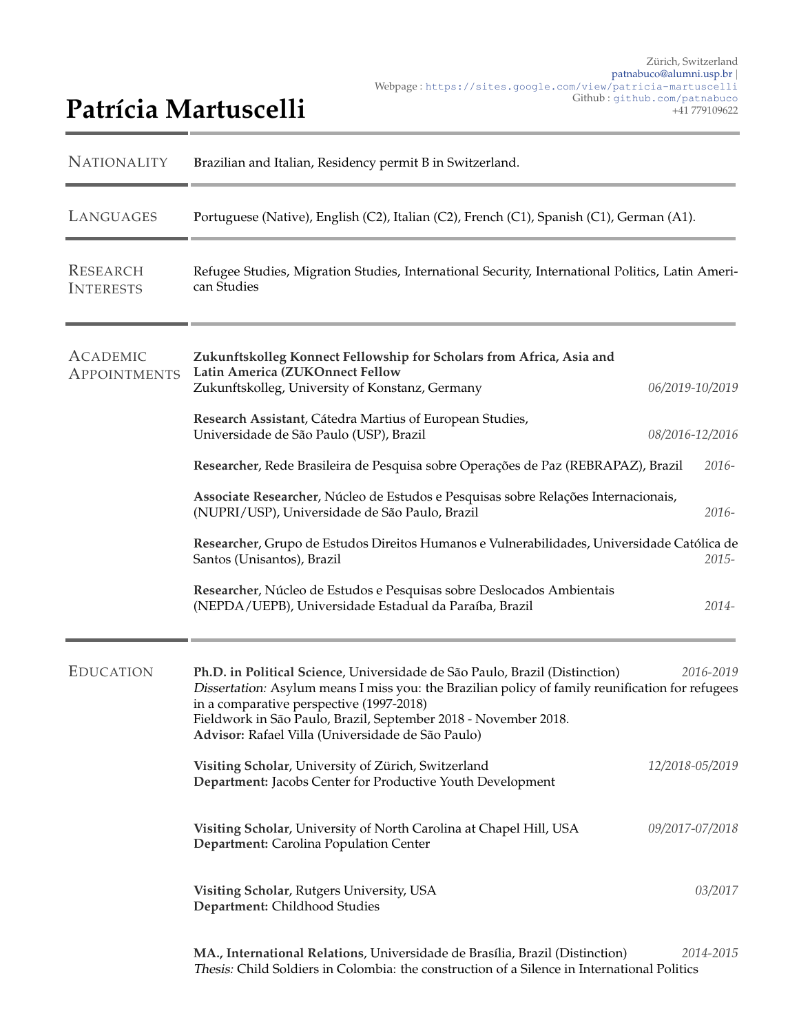## Patrícia Martuscelli

| <b>NATIONALITY</b>                     | Brazilian and Italian, Residency permit B in Switzerland.                                                                                                                                                                                                                                                                                           |                 |           |
|----------------------------------------|-----------------------------------------------------------------------------------------------------------------------------------------------------------------------------------------------------------------------------------------------------------------------------------------------------------------------------------------------------|-----------------|-----------|
| LANGUAGES                              | Portuguese (Native), English (C2), Italian (C2), French (C1), Spanish (C1), German (A1).                                                                                                                                                                                                                                                            |                 |           |
| <b>RESEARCH</b><br><b>INTERESTS</b>    | Refugee Studies, Migration Studies, International Security, International Politics, Latin Ameri-<br>can Studies                                                                                                                                                                                                                                     |                 |           |
| <b>ACADEMIC</b><br><b>APPOINTMENTS</b> | Zukunftskolleg Konnect Fellowship for Scholars from Africa, Asia and<br>Latin America (ZUKOnnect Fellow                                                                                                                                                                                                                                             |                 |           |
|                                        | Zukunftskolleg, University of Konstanz, Germany                                                                                                                                                                                                                                                                                                     | 06/2019-10/2019 |           |
|                                        | Research Assistant, Cátedra Martius of European Studies,<br>Universidade de São Paulo (USP), Brazil                                                                                                                                                                                                                                                 | 08/2016-12/2016 |           |
|                                        | Researcher, Rede Brasileira de Pesquisa sobre Operações de Paz (REBRAPAZ), Brazil                                                                                                                                                                                                                                                                   |                 | $2016-$   |
|                                        | Associate Researcher, Núcleo de Estudos e Pesquisas sobre Relações Internacionais,<br>(NUPRI/USP), Universidade de São Paulo, Brazil                                                                                                                                                                                                                |                 | 2016-     |
|                                        | Researcher, Grupo de Estudos Direitos Humanos e Vulnerabilidades, Universidade Católica de<br>Santos (Unisantos), Brazil                                                                                                                                                                                                                            |                 | $2015 -$  |
|                                        | Researcher, Núcleo de Estudos e Pesquisas sobre Deslocados Ambientais<br>(NEPDA/UEPB), Universidade Estadual da Paraíba, Brazil                                                                                                                                                                                                                     |                 | 2014-     |
| <b>EDUCATION</b>                       | Ph.D. in Political Science, Universidade de São Paulo, Brazil (Distinction)<br>Dissertation: Asylum means I miss you: the Brazilian policy of family reunification for refugees<br>in a comparative perspective (1997-2018)<br>Fieldwork in São Paulo, Brazil, September 2018 - November 2018.<br>Advisor: Rafael Villa (Universidade de São Paulo) |                 | 2016-2019 |
|                                        | Visiting Scholar, University of Zürich, Switzerland<br>Department: Jacobs Center for Productive Youth Development                                                                                                                                                                                                                                   | 12/2018-05/2019 |           |
|                                        | Visiting Scholar, University of North Carolina at Chapel Hill, USA<br>Department: Carolina Population Center                                                                                                                                                                                                                                        | 09/2017-07/2018 |           |
|                                        | Visiting Scholar, Rutgers University, USA<br>Department: Childhood Studies                                                                                                                                                                                                                                                                          |                 | 03/2017   |
|                                        | MA., International Relations, Universidade de Brasília, Brazil (Distinction)<br>Thesis: Child Soldiers in Colombia: the construction of a Silence in International Politics                                                                                                                                                                         |                 | 2014-2015 |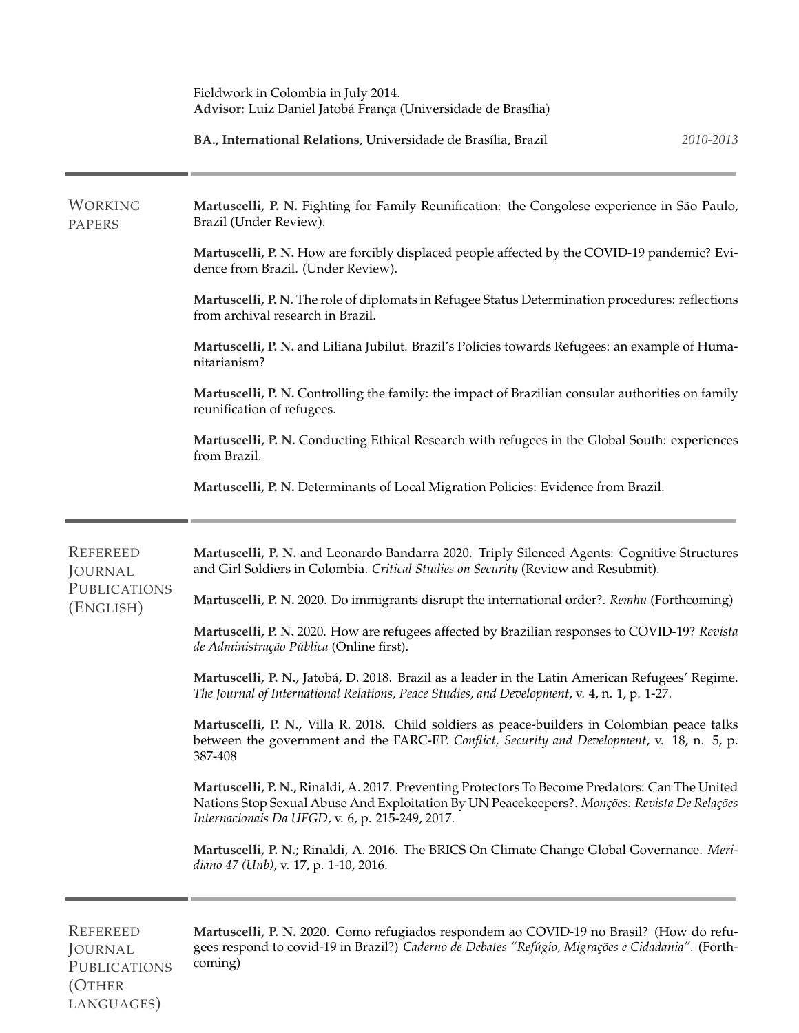|                                  | Fieldwork in Colombia in July 2014.<br>Advisor: Luiz Daniel Jatobá França (Universidade de Brasília)                                                                                                                                               |
|----------------------------------|----------------------------------------------------------------------------------------------------------------------------------------------------------------------------------------------------------------------------------------------------|
|                                  | BA., International Relations, Universidade de Brasília, Brazil<br>2010-2013                                                                                                                                                                        |
| WORKING<br><b>PAPERS</b>         | Martuscelli, P. N. Fighting for Family Reunification: the Congolese experience in São Paulo,<br>Brazil (Under Review).                                                                                                                             |
|                                  | Martuscelli, P. N. How are forcibly displaced people affected by the COVID-19 pandemic? Evi-<br>dence from Brazil. (Under Review).                                                                                                                 |
|                                  | Martuscelli, P. N. The role of diplomats in Refugee Status Determination procedures: reflections<br>from archival research in Brazil.                                                                                                              |
|                                  | Martuscelli, P. N. and Liliana Jubilut. Brazil's Policies towards Refugees: an example of Huma-<br>nitarianism?                                                                                                                                    |
|                                  | Martuscelli, P. N. Controlling the family: the impact of Brazilian consular authorities on family<br>reunification of refugees.                                                                                                                    |
|                                  | Martuscelli, P. N. Conducting Ethical Research with refugees in the Global South: experiences<br>from Brazil.                                                                                                                                      |
|                                  | Martuscelli, P. N. Determinants of Local Migration Policies: Evidence from Brazil.                                                                                                                                                                 |
| <b>REFEREED</b><br>JOURNAL       | Martuscelli, P. N. and Leonardo Bandarra 2020. Triply Silenced Agents: Cognitive Structures<br>and Girl Soldiers in Colombia. Critical Studies on Security (Review and Resubmit).                                                                  |
| <b>PUBLICATIONS</b><br>(ENGLISH) | Martuscelli, P. N. 2020. Do immigrants disrupt the international order?. Remhu (Forthcoming)                                                                                                                                                       |
|                                  | Martuscelli, P. N. 2020. How are refugees affected by Brazilian responses to COVID-19? Revista<br>de Administração Pública (Online first).                                                                                                         |
|                                  | Martuscelli, P. N., Jatobá, D. 2018. Brazil as a leader in the Latin American Refugees' Regime.<br>The Journal of International Relations, Peace Studies, and Development, v. 4, n. 1, p. 1-27.                                                    |
|                                  | Martuscelli, P. N., Villa R. 2018. Child soldiers as peace-builders in Colombian peace talks<br>between the government and the FARC-EP. Conflict, Security and Development, v. 18, n. 5, p.<br>387-408                                             |
|                                  | Martuscelli, P. N., Rinaldi, A. 2017. Preventing Protectors To Become Predators: Can The United<br>Nations Stop Sexual Abuse And Exploitation By UN Peacekeepers?. Monções: Revista De Relações<br>Internacionais Da UFGD, v. 6, p. 215-249, 2017. |
|                                  | Martuscelli, P. N.; Rinaldi, A. 2016. The BRICS On Climate Change Global Governance. Meri-<br>diano 47 (Unb), v. 17, p. 1-10, 2016.                                                                                                                |
| <b>REFEREED</b>                  | Martuscelli, P. N. 2020. Como refugiados respondem ao COVID-19 no Brasil? (How do refu-                                                                                                                                                            |

JOURNAL **PUBLICATIONS** (OTHER LANGUAGES)

gees respond to covid-19 in Brazil?) *Caderno de Debates "Ref ´ugio, Migra¸c˜oes e Cidadania".* (Forthcoming)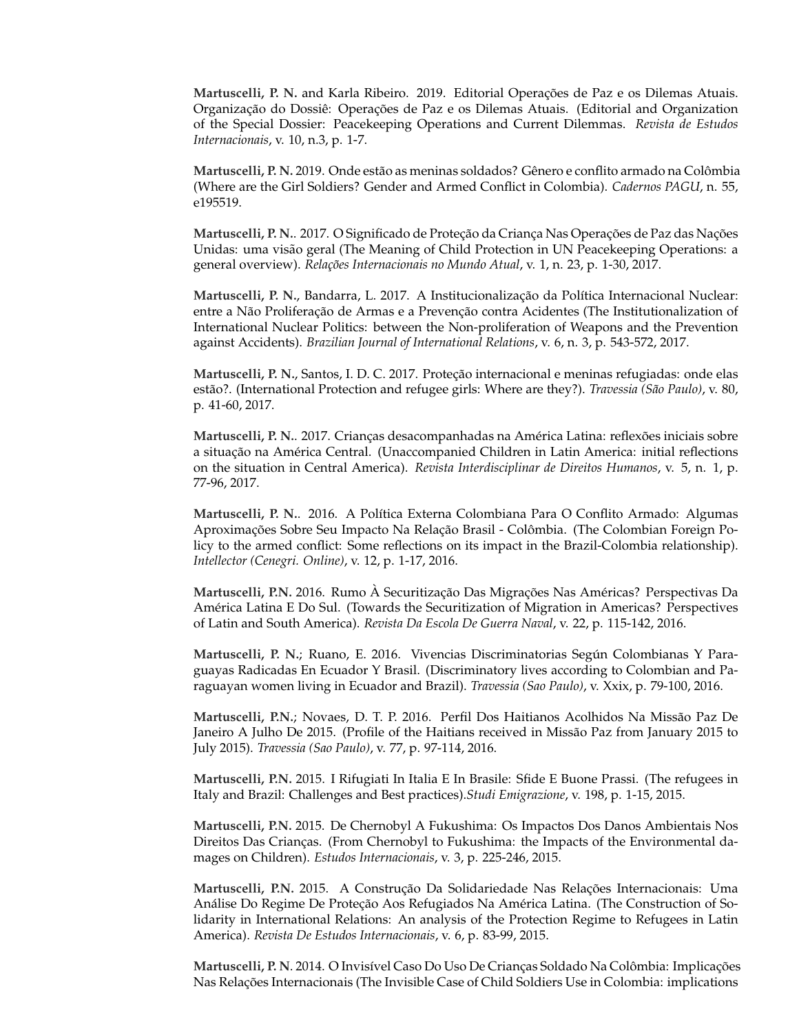Martuscelli, P. N. and Karla Ribeiro. 2019. Editorial Operações de Paz e os Dilemas Atuais. Organização do Dossiê: Operações de Paz e os Dilemas Atuais. (Editorial and Organization of the Special Dossier: Peacekeeping Operations and Current Dilemmas. *Revista de Estudos Internacionais*, v. 10, n.3, p. 1-7.

Martuscelli, P. N. 2019. Onde estão as meninas soldados? Gênero e conflito armado na Colômbia (Where are the Girl Soldiers? Gender and Armed Conflict in Colombia). *Cadernos PAGU*, n. 55, e195519.

Martuscelli, P. N.. 2017. O Significado de Proteção da Criança Nas Operações de Paz das Nações Unidas: uma visão geral (The Meaning of Child Protection in UN Peacekeeping Operations: a general overview). *Rela¸c˜oes Internacionais no Mundo Atual*, v. 1, n. 23, p. 1-30, 2017.

**Martuscelli, P. N., Bandarra, L. 2017. A Institucionalização da Política Internacional Nuclear:** entre a Não Proliferação de Armas e a Prevenção contra Acidentes (The Institutionalization of International Nuclear Politics: between the Non-proliferation of Weapons and the Prevention against Accidents). *Brazilian Journal of International Relations*, v. 6, n. 3, p. 543-572, 2017.

**Martuscelli, P. N., Santos, I. D. C. 2017. Proteção internacional e meninas refugiadas: onde elas** estão?. (International Protection and refugee girls: Where are they?). *Travessia (São Paulo)*, v. 80, p. 41-60, 2017.

Martuscelli, P. N.. 2017. Crianças desacompanhadas na América Latina: reflexões iniciais sobre a situação na América Central. (Unaccompanied Children in Latin America: initial reflections on the situation in Central America). *Revista Interdisciplinar de Direitos Humanos*, v. 5, n. 1, p. 77-96, 2017.

**Martuscelli, P. N.. 2016. A Política Externa Colombiana Para O Conflito Armado: Algumas** Aproximações Sobre Seu Impacto Na Relação Brasil - Colômbia. (The Colombian Foreign Policy to the armed conflict: Some reflections on its impact in the Brazil-Colombia relationship). *Intellector (Cenegri. Online)*, v. 12, p. 1-17, 2016.

**Martuscelli, P.N.** 2016. Rumo A Securitização Das Migrações Nas Américas? Perspectivas Da America Latina E Do Sul. (Towards the Securitization of Migration in Americas? Perspectives ´ of Latin and South America). *Revista Da Escola De Guerra Naval*, v. 22, p. 115-142, 2016.

**Martuscelli, P. N.**; Ruano, E. 2016. Vivencias Discriminatorias Según Colombianas Y Paraguayas Radicadas En Ecuador Y Brasil. (Discriminatory lives according to Colombian and Paraguayan women living in Ecuador and Brazil). *Travessia (Sao Paulo)*, v. Xxix, p. 79-100, 2016.

**Martuscelli, P.N.**; Novaes, D. T. P. 2016. Perfil Dos Haitianos Acolhidos Na Missao Paz De ˜ Janeiro A Julho De 2015. (Profile of the Haitians received in Missão Paz from January 2015 to July 2015). *Travessia (Sao Paulo)*, v. 77, p. 97-114, 2016.

**Martuscelli, P.N.** 2015. I Rifugiati In Italia E In Brasile: Sfide E Buone Prassi. (The refugees in Italy and Brazil: Challenges and Best practices).*Studi Emigrazione*, v. 198, p. 1-15, 2015.

**Martuscelli, P.N.** 2015. De Chernobyl A Fukushima: Os Impactos Dos Danos Ambientais Nos Direitos Das Crianças. (From Chernobyl to Fukushima: the Impacts of the Environmental damages on Children). *Estudos Internacionais*, v. 3, p. 225-246, 2015.

Martuscelli, P.N. 2015. A Construção Da Solidariedade Nas Relações Internacionais: Uma Análise Do Regime De Proteção Aos Refugiados Na América Latina. (The Construction of Solidarity in International Relations: An analysis of the Protection Regime to Refugees in Latin America). *Revista De Estudos Internacionais*, v. 6, p. 83-99, 2015.

Martuscelli, P. N. 2014. O Invisível Caso Do Uso De Crianças Soldado Na Colômbia: Implicações Nas Relações Internacionais (The Invisible Case of Child Soldiers Use in Colombia: implications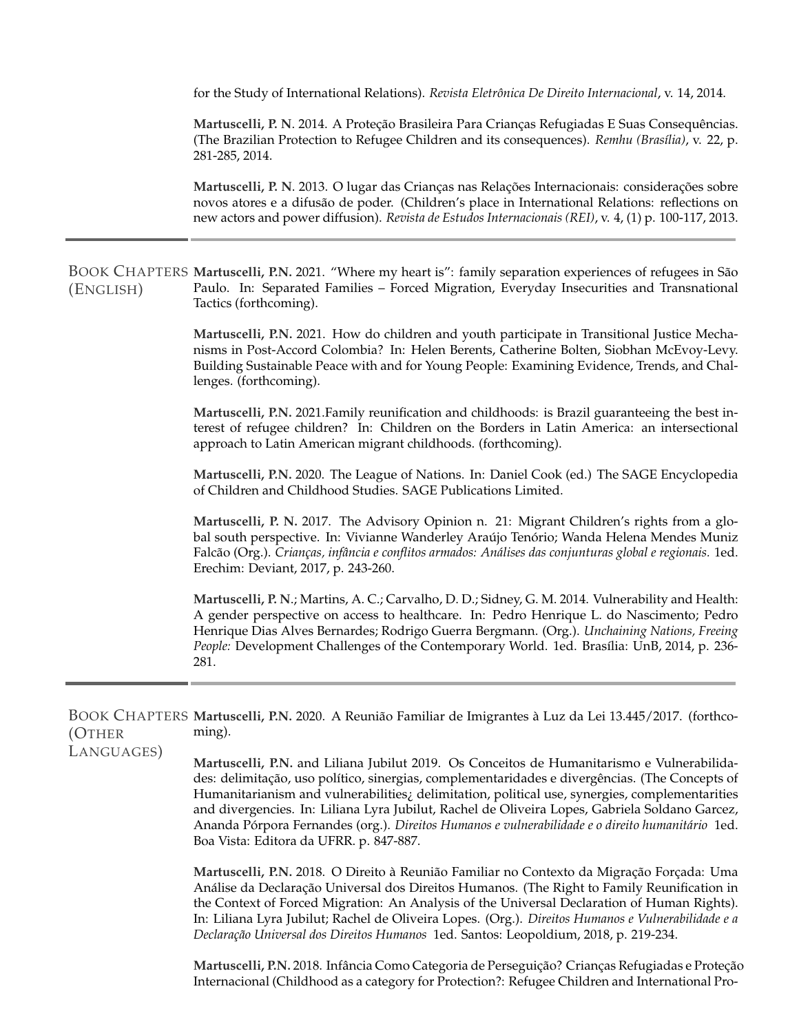for the Study of International Relations). *Revista Eletrˆonica De Direito Internacional*, v. 14, 2014.

Martuscelli, P. N. 2014. A Proteção Brasileira Para Crianças Refugiadas E Suas Consequências. (The Brazilian Protection to Refugee Children and its consequences). *Remhu (Bras´ılia)*, v. 22, p. 281-285, 2014.

Martuscelli, P. N. 2013. O lugar das Crianças nas Relações Internacionais: considerações sobre novos atores e a difusão de poder. (Children's place in International Relations: reflections on new actors and power diffusion). *Revista de Estudos Internacionais (REI)*, v. 4, (1) p. 100-117, 2013.

BOOK CHAPTERS Martuscelli, P.N. 2021. "Where my heart is": family separation experiences of refugees in São (ENGLISH) Paulo. In: Separated Families – Forced Migration, Everyday Insecurities and Transnational Tactics (forthcoming).

> **Martuscelli, P.N.** 2021. How do children and youth participate in Transitional Justice Mechanisms in Post-Accord Colombia? In: Helen Berents, Catherine Bolten, Siobhan McEvoy-Levy. Building Sustainable Peace with and for Young People: Examining Evidence, Trends, and Challenges. (forthcoming).

> **Martuscelli, P.N.** 2021.Family reunification and childhoods: is Brazil guaranteeing the best interest of refugee children? In: Children on the Borders in Latin America: an intersectional approach to Latin American migrant childhoods. (forthcoming).

> **Martuscelli, P.N.** 2020. The League of Nations. In: Daniel Cook (ed.) The SAGE Encyclopedia of Children and Childhood Studies. SAGE Publications Limited.

> **Martuscelli, P. N.** 2017. The Advisory Opinion n. 21: Migrant Children's rights from a global south perspective. In: Vivianne Wanderley Araújo Tenório; Wanda Helena Mendes Muniz Falcão (Org.). *Crianças, infância e conflitos armados: Análises das conjunturas global e regionais.* 1ed. Erechim: Deviant, 2017, p. 243-260.

> **Martuscelli, P. N**.; Martins, A. C.; Carvalho, D. D.; Sidney, G. M. 2014. Vulnerability and Health: A gender perspective on access to healthcare. In: Pedro Henrique L. do Nascimento; Pedro Henrique Dias Alves Bernardes; Rodrigo Guerra Bergmann. (Org.). *Unchaining Nations, Freeing People:* Development Challenges of the Contemporary World. 1ed. Brasília: UnB, 2014, p. 236-281.

BOOK CHAPTERS Martuscelli, P.N. 2020. A Reunião Familiar de Imigrantes à Luz da Lei 13.445/2017. (forthco-(OTHER ming).

LANGUAGES)

**Martuscelli, P.N.** and Liliana Jubilut 2019. Os Conceitos de Humanitarismo e Vulnerabilidades: delimitação, uso político, sinergias, complementaridades e divergências. (The Concepts of Humanitarianism and vulnerabilities¿ delimitation, political use, synergies, complementarities and divergencies. In: Liliana Lyra Jubilut, Rachel de Oliveira Lopes, Gabriela Soldano Garcez, Ananda Pórpora Fernandes (org.). *Direitos Humanos e vulnerabilidade e o direito humanitário* 1ed. Boa Vista: Editora da UFRR. p. 847-887.

**Martuscelli, P.N.** 2018. O Direito à Reunião Familiar no Contexto da Migração Forçada: Uma Análise da Declaração Universal dos Direitos Humanos. (The Right to Family Reunification in the Context of Forced Migration: An Analysis of the Universal Declaration of Human Rights). In: Liliana Lyra Jubilut; Rachel de Oliveira Lopes. (Org.). *Direitos Humanos e Vulnerabilidade e a Declara¸c˜ao Universal dos Direitos Humanos* 1ed. Santos: Leopoldium, 2018, p. 219-234.

**Martuscelli, P.N.** 2018. Infância Como Categoria de Perseguição? Crianças Refugiadas e Proteção Internacional (Childhood as a category for Protection?: Refugee Children and International Pro-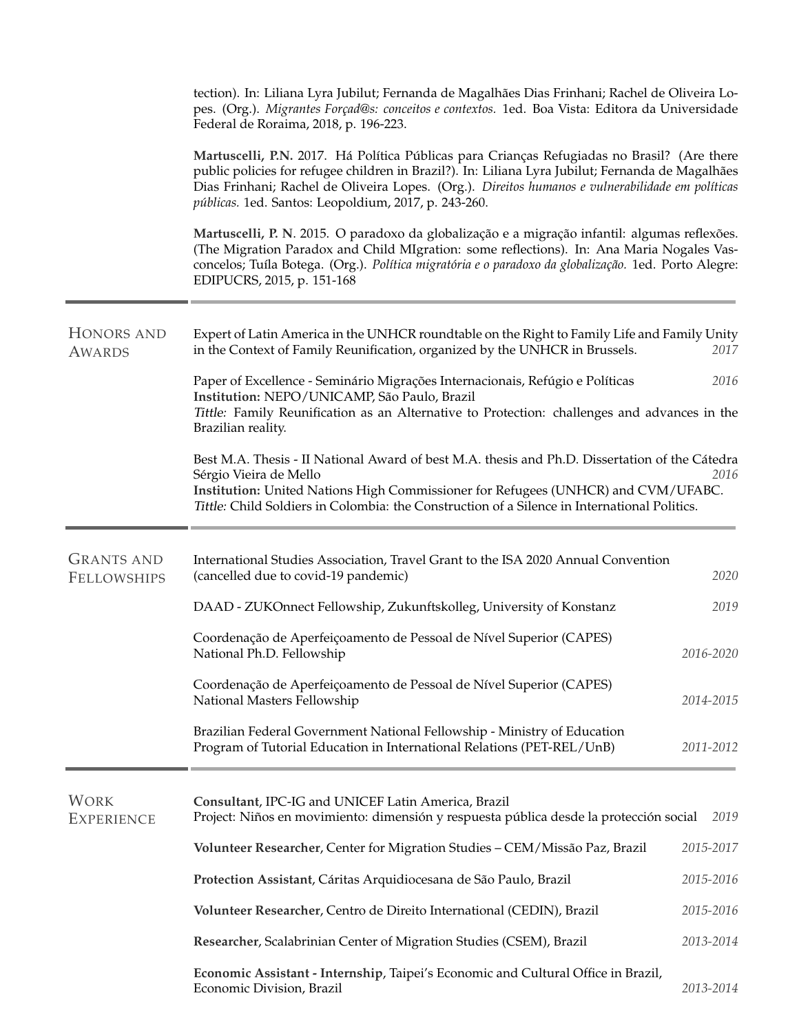|                                  | tection). In: Liliana Lyra Jubilut; Fernanda de Magalhães Dias Frinhani; Rachel de Oliveira Lo-<br>pes. (Org.). Migrantes Forçad@s: conceitos e contextos. 1ed. Boa Vista: Editora da Universidade<br>Federal de Roraima, 2018, p. 196-223.                                                                                                                  |           |
|----------------------------------|--------------------------------------------------------------------------------------------------------------------------------------------------------------------------------------------------------------------------------------------------------------------------------------------------------------------------------------------------------------|-----------|
|                                  | Martuscelli, P.N. 2017. Há Política Públicas para Crianças Refugiadas no Brasil? (Are there<br>public policies for refugee children in Brazil?). In: Liliana Lyra Jubilut; Fernanda de Magalhães<br>Dias Frinhani; Rachel de Oliveira Lopes. (Org.). Direitos humanos e vulnerabilidade em políticas<br>públicas. 1ed. Santos: Leopoldium, 2017, p. 243-260. |           |
|                                  | Martuscelli, P. N. 2015. O paradoxo da globalização e a migração infantil: algumas reflexões.<br>(The Migration Paradox and Child MIgration: some reflections). In: Ana Maria Nogales Vas-<br>concelos; Tuíla Botega. (Org.). Política migratória e o paradoxo da globalização. 1ed. Porto Alegre:<br>EDIPUCRS, 2015, p. 151-168                             |           |
| HONORS AND<br><b>AWARDS</b>      | Expert of Latin America in the UNHCR roundtable on the Right to Family Life and Family Unity<br>in the Context of Family Reunification, organized by the UNHCR in Brussels.                                                                                                                                                                                  | 2017      |
|                                  | Paper of Excellence - Seminário Migrações Internacionais, Refúgio e Políticas<br>Institution: NEPO/UNICAMP, São Paulo, Brazil<br>Tittle: Family Reunification as an Alternative to Protection: challenges and advances in the<br>Brazilian reality.                                                                                                          | 2016      |
|                                  | Best M.A. Thesis - II National Award of best M.A. thesis and Ph.D. Dissertation of the Cátedra<br>Sérgio Vieira de Mello<br>Institution: United Nations High Commissioner for Refugees (UNHCR) and CVM/UFABC.<br>Tittle: Child Soldiers in Colombia: the Construction of a Silence in International Politics.                                                | 2016      |
| <b>GRANTS AND</b><br>FELLOWSHIPS | International Studies Association, Travel Grant to the ISA 2020 Annual Convention<br>(cancelled due to covid-19 pandemic)                                                                                                                                                                                                                                    | 2020      |
|                                  | DAAD - ZUKOnnect Fellowship, Zukunftskolleg, University of Konstanz                                                                                                                                                                                                                                                                                          | 2019      |
|                                  | Coordenação de Aperfeiçoamento de Pessoal de Nível Superior (CAPES)<br>National Ph.D. Fellowship                                                                                                                                                                                                                                                             | 2016-2020 |
|                                  | Coordenação de Aperfeiçoamento de Pessoal de Nível Superior (CAPES)<br>National Masters Fellowship                                                                                                                                                                                                                                                           | 2014-2015 |
|                                  | Brazilian Federal Government National Fellowship - Ministry of Education<br>Program of Tutorial Education in International Relations (PET-REL/UnB)                                                                                                                                                                                                           | 2011-2012 |
| <b>WORK</b><br><b>EXPERIENCE</b> | Consultant, IPC-IG and UNICEF Latin America, Brazil<br>Project: Niños en movimiento: dimensión y respuesta pública desde la protección social                                                                                                                                                                                                                | 2019      |
|                                  | Volunteer Researcher, Center for Migration Studies - CEM/Missão Paz, Brazil                                                                                                                                                                                                                                                                                  | 2015-2017 |
|                                  | Protection Assistant, Cáritas Arquidiocesana de São Paulo, Brazil                                                                                                                                                                                                                                                                                            | 2015-2016 |
|                                  | Volunteer Researcher, Centro de Direito International (CEDIN), Brazil                                                                                                                                                                                                                                                                                        | 2015-2016 |
|                                  | Researcher, Scalabrinian Center of Migration Studies (CSEM), Brazil                                                                                                                                                                                                                                                                                          | 2013-2014 |
|                                  | Economic Assistant - Internship, Taipei's Economic and Cultural Office in Brazil,<br>Economic Division, Brazil                                                                                                                                                                                                                                               | 2013-2014 |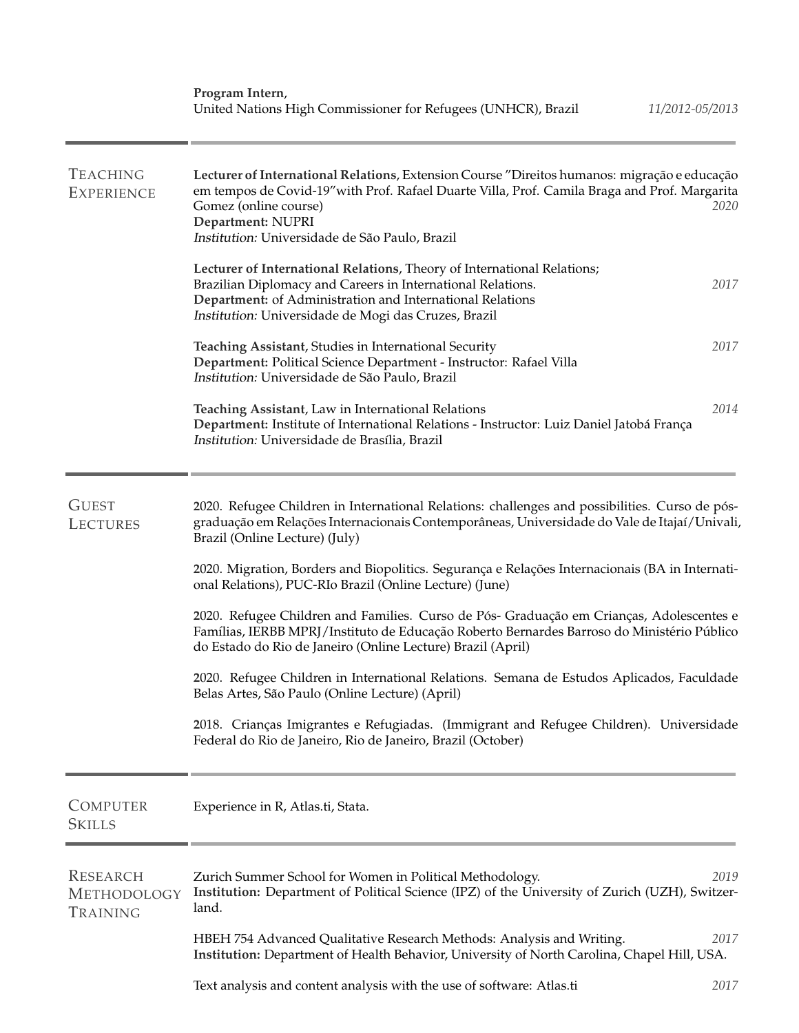| <b>TEACHING</b><br><b>EXPERIENCE</b>              | Lecturer of International Relations, Extension Course "Direitos humanos: migração e educação<br>em tempos de Covid-19" with Prof. Rafael Duarte Villa, Prof. Camila Braga and Prof. Margarita<br>Gomez (online course)<br>2020<br>Department: NUPRI<br>Institution: Universidade de São Paulo, Brazil |
|---------------------------------------------------|-------------------------------------------------------------------------------------------------------------------------------------------------------------------------------------------------------------------------------------------------------------------------------------------------------|
|                                                   | Lecturer of International Relations, Theory of International Relations;<br>2017<br>Brazilian Diplomacy and Careers in International Relations.<br>Department: of Administration and International Relations<br>Institution: Universidade de Mogi das Cruzes, Brazil                                   |
|                                                   | 2017<br>Teaching Assistant, Studies in International Security<br>Department: Political Science Department - Instructor: Rafael Villa<br>Institution: Universidade de São Paulo, Brazil                                                                                                                |
|                                                   | 2014<br>Teaching Assistant, Law in International Relations<br>Department: Institute of International Relations - Instructor: Luiz Daniel Jatobá França<br>Institution: Universidade de Brasília, Brazil                                                                                               |
| <b>GUEST</b><br><b>LECTURES</b>                   | 2020. Refugee Children in International Relations: challenges and possibilities. Curso de pós-<br>graduação em Relações Internacionais Contemporâneas, Universidade do Vale de Itajaí/Univali,<br>Brazil (Online Lecture) (July)                                                                      |
|                                                   | 2020. Migration, Borders and Biopolitics. Segurança e Relações Internacionais (BA in Internati-<br>onal Relations), PUC-RIo Brazil (Online Lecture) (June)                                                                                                                                            |
|                                                   | 2020. Refugee Children and Families. Curso de Pós- Graduação em Crianças, Adolescentes e<br>Famílias, IERBB MPRJ/Instituto de Educação Roberto Bernardes Barroso do Ministério Público<br>do Estado do Rio de Janeiro (Online Lecture) Brazil (April)                                                 |
|                                                   | 2020. Refugee Children in International Relations. Semana de Estudos Aplicados, Faculdade<br>Belas Artes, São Paulo (Online Lecture) (April)                                                                                                                                                          |
|                                                   | 2018. Crianças Imigrantes e Refugiadas. (Immigrant and Refugee Children). Universidade<br>Federal do Rio de Janeiro, Rio de Janeiro, Brazil (October)                                                                                                                                                 |
| <b>COMPUTER</b><br><b>SKILLS</b>                  | Experience in R, Atlas.ti, Stata.                                                                                                                                                                                                                                                                     |
| <b>RESEARCH</b><br><b>METHODOLOGY</b><br>Training | Zurich Summer School for Women in Political Methodology.<br>2019<br>Institution: Department of Political Science (IPZ) of the University of Zurich (UZH), Switzer-<br>land.                                                                                                                           |
|                                                   | HBEH 754 Advanced Qualitative Research Methods: Analysis and Writing.<br>2017<br>Institution: Department of Health Behavior, University of North Carolina, Chapel Hill, USA.                                                                                                                          |
|                                                   | Text analysis and content analysis with the use of software: Atlas.ti<br>2017                                                                                                                                                                                                                         |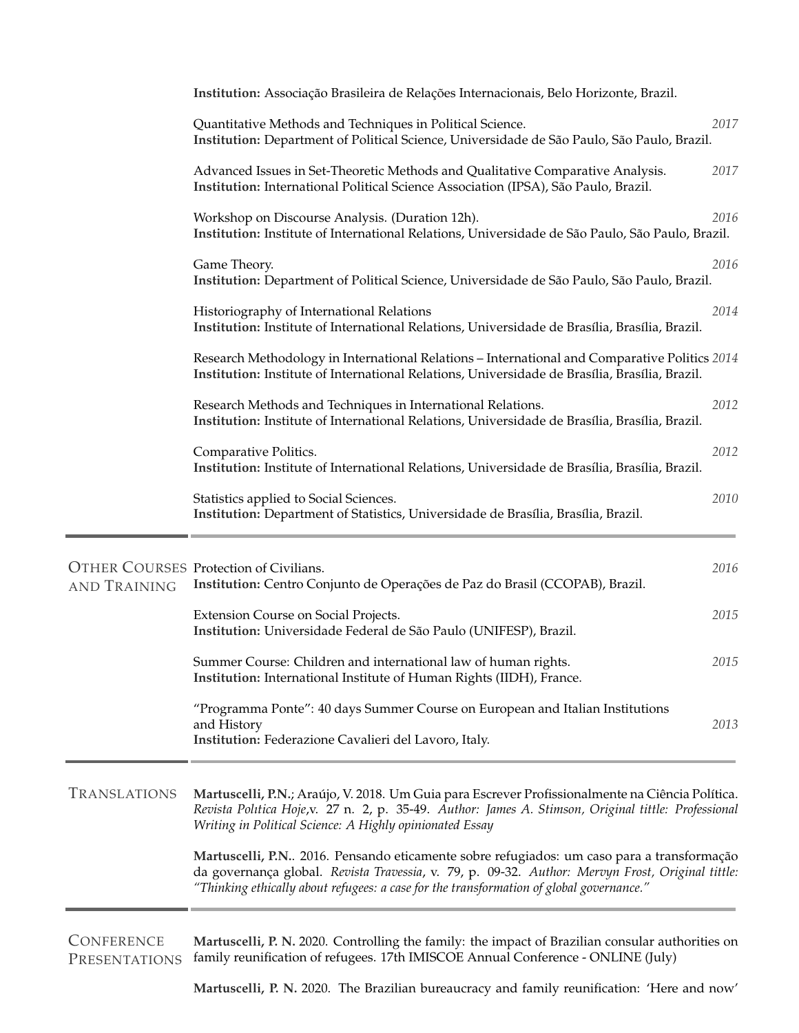|                     | Institution: Associação Brasileira de Relações Internacionais, Belo Horizonte, Brazil.                                                                                                                                                                                                    |      |
|---------------------|-------------------------------------------------------------------------------------------------------------------------------------------------------------------------------------------------------------------------------------------------------------------------------------------|------|
|                     | Quantitative Methods and Techniques in Political Science.<br>Institution: Department of Political Science, Universidade de São Paulo, São Paulo, Brazil.                                                                                                                                  | 2017 |
|                     | Advanced Issues in Set-Theoretic Methods and Qualitative Comparative Analysis.<br>Institution: International Political Science Association (IPSA), São Paulo, Brazil.                                                                                                                     | 2017 |
|                     | Workshop on Discourse Analysis. (Duration 12h).<br>Institution: Institute of International Relations, Universidade de São Paulo, São Paulo, Brazil.                                                                                                                                       | 2016 |
|                     | Game Theory.<br>Institution: Department of Political Science, Universidade de São Paulo, São Paulo, Brazil.                                                                                                                                                                               | 2016 |
|                     | Historiography of International Relations<br>Institution: Institute of International Relations, Universidade de Brasília, Brasília, Brazil.                                                                                                                                               | 2014 |
|                     | Research Methodology in International Relations - International and Comparative Politics 2014<br>Institution: Institute of International Relations, Universidade de Brasília, Brasília, Brazil.                                                                                           |      |
|                     | Research Methods and Techniques in International Relations.<br>Institution: Institute of International Relations, Universidade de Brasília, Brasília, Brazil.                                                                                                                             | 2012 |
|                     | Comparative Politics.<br>Institution: Institute of International Relations, Universidade de Brasília, Brasília, Brazil.                                                                                                                                                                   | 2012 |
|                     | Statistics applied to Social Sciences.<br>Institution: Department of Statistics, Universidade de Brasília, Brasília, Brazil.                                                                                                                                                              | 2010 |
| <b>AND TRAINING</b> | <b>OTHER COURSES Protection of Civilians.</b><br>Institution: Centro Conjunto de Operações de Paz do Brasil (CCOPAB), Brazil.                                                                                                                                                             | 2016 |
|                     | Extension Course on Social Projects.<br>Institution: Universidade Federal de São Paulo (UNIFESP), Brazil.                                                                                                                                                                                 | 2015 |
|                     | Summer Course: Children and international law of human rights.<br>Institution: International Institute of Human Rights (IIDH), France.                                                                                                                                                    | 2015 |
|                     | "Programma Ponte": 40 days Summer Course on European and Italian Institutions<br>and History<br>Institution: Federazione Cavalieri del Lavoro, Italy.                                                                                                                                     | 2013 |
| <b>TRANSLATIONS</b> | Martuscelli, P.N.; Araújo, V. 2018. Um Guia para Escrever Profissionalmente na Ciência Política.<br>Revista Politica Hoje,v. 27 n. 2, p. 35-49. Author: James A. Stimson, Original tittle: Professional<br>Writing in Political Science: A Highly opinionated Essay                       |      |
|                     | Martuscelli, P.N 2016. Pensando eticamente sobre refugiados: um caso para a transformação<br>da governança global. Revista Travessia, v. 79, p. 09-32. Author: Mervyn Frost, Original tittle:<br>"Thinking ethically about refugees: a case for the transformation of global governance." |      |

**CONFERENCE** PRESENTATIONS family reunification of refugees. 17th IMISCOE Annual Conference - ONLINE (July) **Martuscelli, P. N.** 2020. Controlling the family: the impact of Brazilian consular authorities on

**Martuscelli, P. N.** 2020. The Brazilian bureaucracy and family reunification: 'Here and now'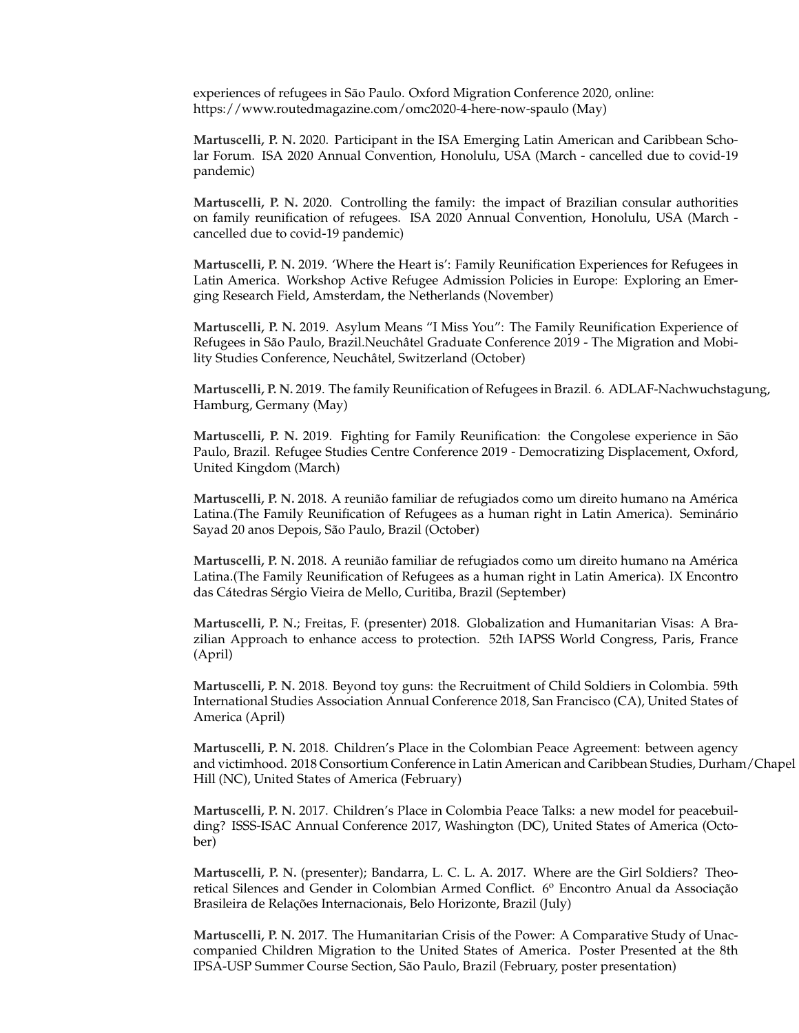experiences of refugees in São Paulo. Oxford Migration Conference 2020, online: https://www.routedmagazine.com/omc2020-4-here-now-spaulo (May)

**Martuscelli, P. N.** 2020. Participant in the ISA Emerging Latin American and Caribbean Scholar Forum. ISA 2020 Annual Convention, Honolulu, USA (March - cancelled due to covid-19 pandemic)

**Martuscelli, P. N.** 2020. Controlling the family: the impact of Brazilian consular authorities on family reunification of refugees. ISA 2020 Annual Convention, Honolulu, USA (March cancelled due to covid-19 pandemic)

**Martuscelli, P. N.** 2019. 'Where the Heart is': Family Reunification Experiences for Refugees in Latin America. Workshop Active Refugee Admission Policies in Europe: Exploring an Emerging Research Field, Amsterdam, the Netherlands (November)

**Martuscelli, P. N.** 2019. Asylum Means "I Miss You": The Family Reunification Experience of Refugees in São Paulo, Brazil.Neuchâtel Graduate Conference 2019 - The Migration and Mobility Studies Conference, Neuchatel, Switzerland (October) ˆ

**Martuscelli, P. N.** 2019. The family Reunification of Refugees in Brazil. 6. ADLAF-Nachwuchstagung, Hamburg, Germany (May)

**Martuscelli, P. N.** 2019. Fighting for Family Reunification: the Congolese experience in São Paulo, Brazil. Refugee Studies Centre Conference 2019 - Democratizing Displacement, Oxford, United Kingdom (March)

**Martuscelli, P. N.** 2018. A reunião familiar de refugiados como um direito humano na América Latina.(The Family Reunification of Refugees as a human right in Latin America). Seminário Sayad 20 anos Depois, São Paulo, Brazil (October)

**Martuscelli, P. N. 2018. A reunião familiar de refugiados como um direito humano na América** Latina.(The Family Reunification of Refugees as a human right in Latin America). IX Encontro das Cátedras Sérgio Vieira de Mello, Curitiba, Brazil (September)

**Martuscelli, P. N.**; Freitas, F. (presenter) 2018. Globalization and Humanitarian Visas: A Brazilian Approach to enhance access to protection. 52th IAPSS World Congress, Paris, France (April)

**Martuscelli, P. N.** 2018. Beyond toy guns: the Recruitment of Child Soldiers in Colombia. 59th International Studies Association Annual Conference 2018, San Francisco (CA), United States of America (April)

**Martuscelli, P. N.** 2018. Children's Place in the Colombian Peace Agreement: between agency and victimhood. 2018 Consortium Conference in Latin American and Caribbean Studies, Durham/Chapel Hill (NC), United States of America (February)

**Martuscelli, P. N.** 2017. Children's Place in Colombia Peace Talks: a new model for peacebuilding? ISSS-ISAC Annual Conference 2017, Washington (DC), United States of America (October)

**Martuscelli, P. N.** (presenter); Bandarra, L. C. L. A. 2017. Where are the Girl Soldiers? Theoretical Silences and Gender in Colombian Armed Conflict. 6<sup>o</sup> Encontro Anual da Associação Brasileira de Relações Internacionais, Belo Horizonte, Brazil (July)

**Martuscelli, P. N.** 2017. The Humanitarian Crisis of the Power: A Comparative Study of Unaccompanied Children Migration to the United States of America. Poster Presented at the 8th IPSA-USP Summer Course Section, Sao Paulo, Brazil (February, poster presentation) ˜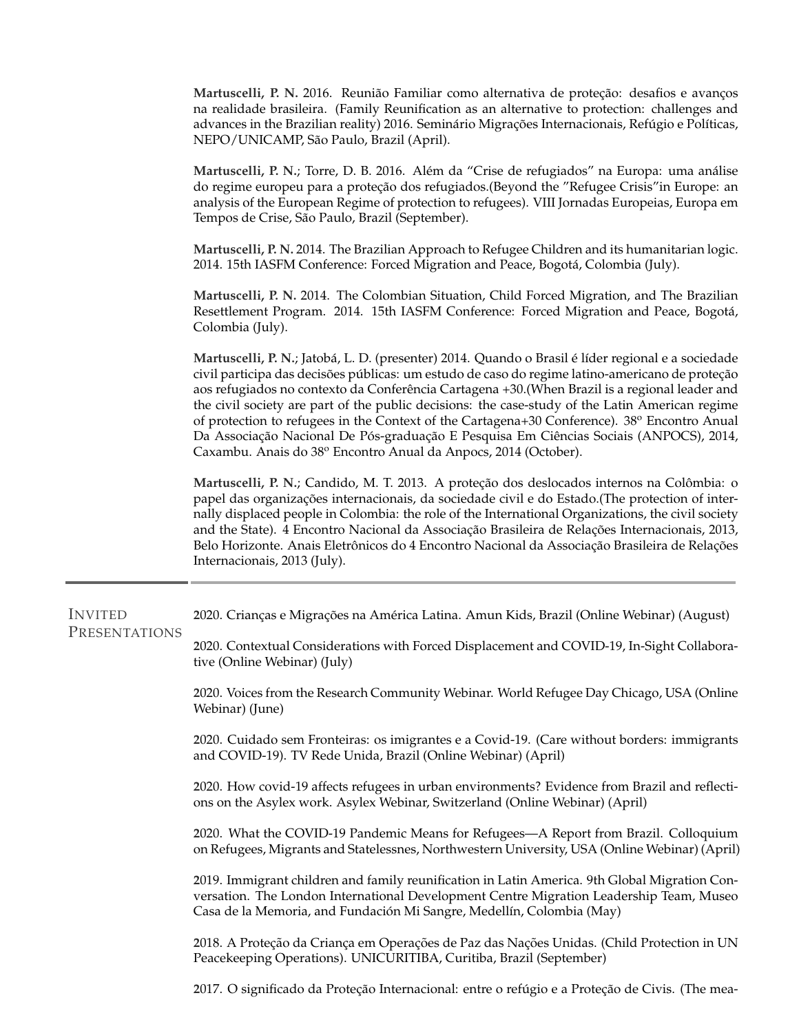**Martuscelli, P. N.** 2016. Reunião Familiar como alternativa de proteção: desafios e avanços na realidade brasileira. (Family Reunification as an alternative to protection: challenges and advances in the Brazilian reality) 2016. Seminário Migrações Internacionais, Refúgio e Políticas, NEPO/UNICAMP, São Paulo, Brazil (April).

**Martuscelli, P. N.; Torre, D. B. 2016. Além da "Crise de refugiados" na Europa: uma análise** do regime europeu para a proteção dos refugiados.(Beyond the "Refugee Crisis" in Europe: an analysis of the European Regime of protection to refugees). VIII Jornadas Europeias, Europa em Tempos de Crise, São Paulo, Brazil (September).

**Martuscelli, P. N.** 2014. The Brazilian Approach to Refugee Children and its humanitarian logic. 2014. 15th IASFM Conference: Forced Migration and Peace, Bogota, Colombia (July). ´

**Martuscelli, P. N.** 2014. The Colombian Situation, Child Forced Migration, and The Brazilian Resettlement Program. 2014. 15th IASFM Conference: Forced Migration and Peace, Bogota,´ Colombia (July).

**Martuscelli, P. N.**; Jatobá, L. D. (presenter) 2014. Quando o Brasil é líder regional e a sociedade civil participa das decisões públicas: um estudo de caso do regime latino-americano de proteção aos refugiados no contexto da Conferência Cartagena +30. (When Brazil is a regional leader and the civil society are part of the public decisions: the case-study of the Latin American regime of protection to refugees in the Context of the Cartagena+30 Conference).  $38^{\circ}$  Encontro Anual Da Associação Nacional De Pós-graduação E Pesquisa Em Ciências Sociais (ANPOCS), 2014, Caxambu. Anais do 38º Encontro Anual da Anpocs, 2014 (October).

**Martuscelli, P. N.; Candido, M. T. 2013. A proteção dos deslocados internos na Colômbia: o** papel das organizações internacionais, da sociedade civil e do Estado. (The protection of internally displaced people in Colombia: the role of the International Organizations, the civil society and the State). 4 Encontro Nacional da Associação Brasileira de Relações Internacionais, 2013, Belo Horizonte. Anais Eletrônicos do 4 Encontro Nacional da Associação Brasileira de Relações Internacionais, 2013 (July).

INVITED PRESENTATIONS 2020. Crianças e Migrações na América Latina. Amun Kids, Brazil (Online Webinar) (August)

> **2**020. Contextual Considerations with Forced Displacement and COVID-19, In-Sight Collaborative (Online Webinar) (July)

> **2**020. Voices from the Research Community Webinar. World Refugee Day Chicago, USA (Online Webinar) (June)

> **2**020. Cuidado sem Fronteiras: os imigrantes e a Covid-19. (Care without borders: immigrants and COVID-19). TV Rede Unida, Brazil (Online Webinar) (April)

> **2**020. How covid-19 affects refugees in urban environments? Evidence from Brazil and reflections on the Asylex work. Asylex Webinar, Switzerland (Online Webinar) (April)

> **2**020. What the COVID-19 Pandemic Means for Refugees—A Report from Brazil. Colloquium on Refugees, Migrants and Statelessnes, Northwestern University, USA (Online Webinar) (April)

> **2**019. Immigrant children and family reunification in Latin America. 9th Global Migration Conversation. The London International Development Centre Migration Leadership Team, Museo Casa de la Memoria, and Fundación Mi Sangre, Medellín, Colombia (May)

> **2**018. A Protec¸ao da Crianc¸a em Operac¸ ˜ oes de Paz das Nac¸ ˜ oes Unidas. (Child Protection in UN ˜ Peacekeeping Operations). UNICURITIBA, Curitiba, Brazil (September)

> 2017. O significado da Proteção Internacional: entre o refúgio e a Proteção de Civis. (The mea-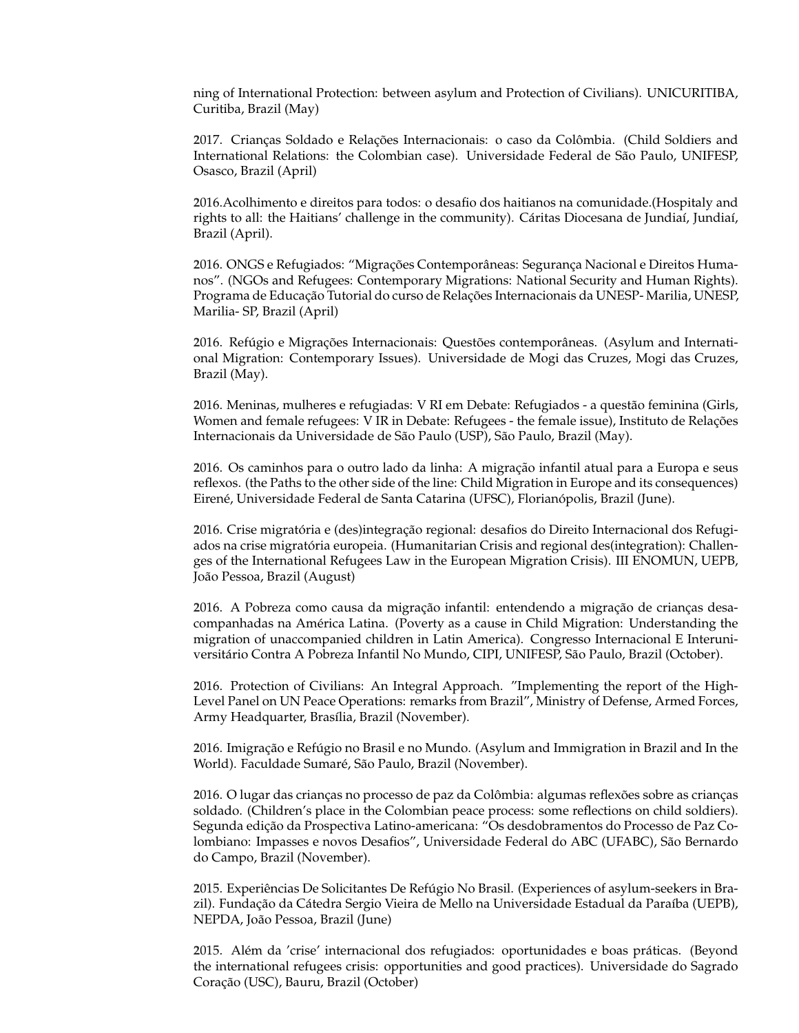ning of International Protection: between asylum and Protection of Civilians). UNICURITIBA, Curitiba, Brazil (May)

**2017. Crianças Soldado e Relações Internacionais: o caso da Colômbia. (Child Soldiers and** International Relations: the Colombian case). Universidade Federal de São Paulo, UNIFESP, Osasco, Brazil (April)

**2**016.Acolhimento e direitos para todos: o desafio dos haitianos na comunidade.(Hospitaly and rights to all: the Haitians' challenge in the community). Cáritas Diocesana de Jundiaí, Jundiaí, Brazil (April).

2016. ONGS e Refugiados: "Migrações Contemporâneas: Segurança Nacional e Direitos Humanos". (NGOs and Refugees: Contemporary Migrations: National Security and Human Rights). Programa de Educação Tutorial do curso de Relações Internacionais da UNESP-Marilia, UNESP, Marilia- SP, Brazil (April)

2016. Refúgio e Migrações Internacionais: Questões contemporâneas. (Asylum and International Migration: Contemporary Issues). Universidade de Mogi das Cruzes, Mogi das Cruzes, Brazil (May).

**2016. Meninas, mulheres e refugiadas: V RI em Debate: Refugiados - a questão feminina (Girls,** Women and female refugees: V IR in Debate: Refugees - the female issue), Instituto de Relações Internacionais da Universidade de São Paulo (USP), São Paulo, Brazil (May).

**2016.** Os caminhos para o outro lado da linha: A migração infantil atual para a Europa e seus reflexos. (the Paths to the other side of the line: Child Migration in Europe and its consequences) Eirené, Universidade Federal de Santa Catarina (UFSC), Florianópolis, Brazil (June).

2016. Crise migratória e (des)integração regional: desafios do Direito Internacional dos Refugiados na crise migratória europeia. (Humanitarian Crisis and regional des(integration): Challenges of the International Refugees Law in the European Migration Crisis). III ENOMUN, UEPB, João Pessoa, Brazil (August)

**2016. A Pobreza como causa da migração infantil: entendendo a migração de crianças desa**companhadas na America Latina. (Poverty as a cause in Child Migration: Understanding the ´ migration of unaccompanied children in Latin America). Congresso Internacional E Interuniversitário Contra A Pobreza Infantil No Mundo, CIPI, UNIFESP, São Paulo, Brazil (October).

**2**016. Protection of Civilians: An Integral Approach. "Implementing the report of the High-Level Panel on UN Peace Operations: remarks from Brazil", Ministry of Defense, Armed Forces, Army Headquarter, Brasília, Brazil (November).

2016. Imigração e Refúgio no Brasil e no Mundo. (Asylum and Immigration in Brazil and In the World). Faculdade Sumaré, São Paulo, Brazil (November).

2016. O lugar das crianças no processo de paz da Colômbia: algumas reflexões sobre as crianças soldado. (Children's place in the Colombian peace process: some reflections on child soldiers). Segunda edição da Prospectiva Latino-americana: "Os desdobramentos do Processo de Paz Colombiano: Impasses e novos Desafios", Universidade Federal do ABC (UFABC), São Bernardo do Campo, Brazil (November).

2015. Experiências De Solicitantes De Refúgio No Brasil. (Experiences of asylum-seekers in Brazil). Fundação da Cátedra Sergio Vieira de Mello na Universidade Estadual da Paraíba (UEPB), NEPDA, João Pessoa, Brazil (June)

**2015.** Além da 'crise' internacional dos refugiados: oportunidades e boas práticas. (Beyond the international refugees crisis: opportunities and good practices). Universidade do Sagrado Coração (USC), Bauru, Brazil (October)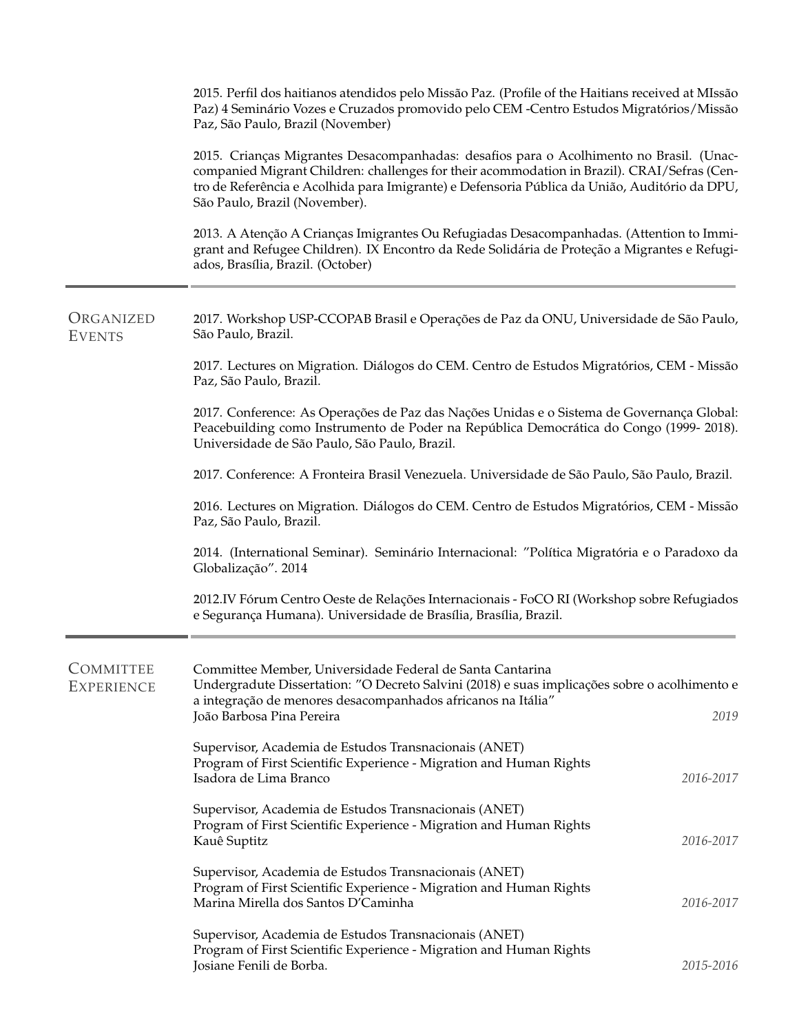|                                       | 2015. Perfil dos haitianos atendidos pelo Missão Paz. (Profile of the Haitians received at MIssão<br>Paz) 4 Seminário Vozes e Cruzados promovido pelo CEM -Centro Estudos Migratórios/Missão<br>Paz, São Paulo, Brazil (November)                                                                                        |           |
|---------------------------------------|--------------------------------------------------------------------------------------------------------------------------------------------------------------------------------------------------------------------------------------------------------------------------------------------------------------------------|-----------|
|                                       | 2015. Crianças Migrantes Desacompanhadas: desafios para o Acolhimento no Brasil. (Unac-<br>companied Migrant Children: challenges for their acommodation in Brazil). CRAI/Sefras (Cen-<br>tro de Referência e Acolhida para Imigrante) e Defensoria Pública da União, Auditório da DPU,<br>São Paulo, Brazil (November). |           |
|                                       | 2013. A Atenção A Crianças Imigrantes Ou Refugiadas Desacompanhadas. (Attention to Immi-<br>grant and Refugee Children). IX Encontro da Rede Solidária de Proteção a Migrantes e Refugi-<br>ados, Brasília, Brazil. (October)                                                                                            |           |
| ORGANIZED<br><b>EVENTS</b>            | 2017. Workshop USP-CCOPAB Brasil e Operações de Paz da ONU, Universidade de São Paulo,<br>São Paulo, Brazil.                                                                                                                                                                                                             |           |
|                                       | 2017. Lectures on Migration. Diálogos do CEM. Centro de Estudos Migratórios, CEM - Missão<br>Paz, São Paulo, Brazil.                                                                                                                                                                                                     |           |
|                                       | 2017. Conference: As Operações de Paz das Nações Unidas e o Sistema de Governança Global:<br>Peacebuilding como Instrumento de Poder na República Democrática do Congo (1999-2018).<br>Universidade de São Paulo, São Paulo, Brazil.                                                                                     |           |
|                                       | 2017. Conference: A Fronteira Brasil Venezuela. Universidade de São Paulo, São Paulo, Brazil.                                                                                                                                                                                                                            |           |
|                                       | 2016. Lectures on Migration. Diálogos do CEM. Centro de Estudos Migratórios, CEM - Missão<br>Paz, São Paulo, Brazil.                                                                                                                                                                                                     |           |
|                                       | 2014. (International Seminar). Seminário Internacional: "Política Migratória e o Paradoxo da<br>Globalização". 2014                                                                                                                                                                                                      |           |
|                                       | 2012.IV Fórum Centro Oeste de Relações Internacionais - FoCO RI (Workshop sobre Refugiados<br>e Segurança Humana). Universidade de Brasília, Brasília, Brazil.                                                                                                                                                           |           |
| <b>COMMITTEE</b><br><b>EXPERIENCE</b> | Committee Member, Universidade Federal de Santa Cantarina<br>Undergradute Dissertation: "O Decreto Salvini (2018) e suas implicações sobre o acolhimento e<br>a integração de menores desacompanhados africanos na Itália"<br>João Barbosa Pina Pereira                                                                  | 2019      |
|                                       | Supervisor, Academia de Estudos Transnacionais (ANET)<br>Program of First Scientific Experience - Migration and Human Rights<br>Isadora de Lima Branco                                                                                                                                                                   | 2016-2017 |
|                                       | Supervisor, Academia de Estudos Transnacionais (ANET)<br>Program of First Scientific Experience - Migration and Human Rights<br>Kauê Suptitz                                                                                                                                                                             | 2016-2017 |
|                                       | Supervisor, Academia de Estudos Transnacionais (ANET)<br>Program of First Scientific Experience - Migration and Human Rights<br>Marina Mirella dos Santos D'Caminha                                                                                                                                                      | 2016-2017 |
|                                       | Supervisor, Academia de Estudos Transnacionais (ANET)<br>Program of First Scientific Experience - Migration and Human Rights<br>Josiane Fenili de Borba.                                                                                                                                                                 | 2015-2016 |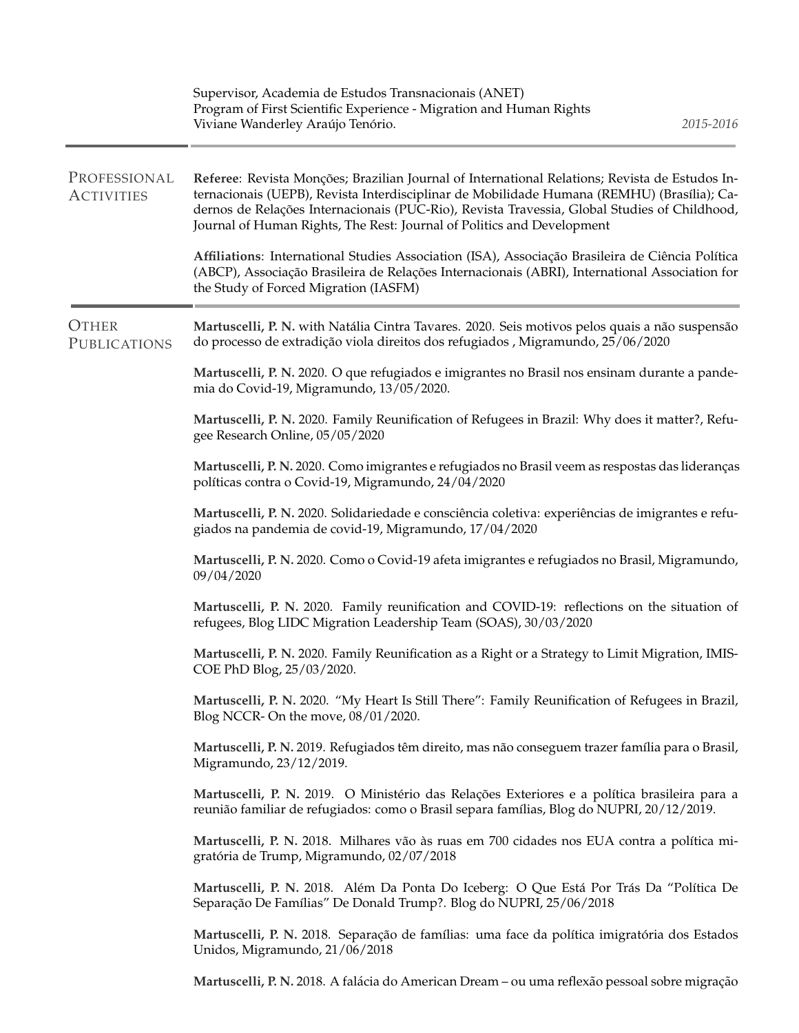|                                   | Supervisor, Academia de Estudos Transnacionais (ANET)<br>Program of First Scientific Experience - Migration and Human Rights<br>2015-2016<br>Viviane Wanderley Araújo Tenório.                                                                                                                                                                                         |
|-----------------------------------|------------------------------------------------------------------------------------------------------------------------------------------------------------------------------------------------------------------------------------------------------------------------------------------------------------------------------------------------------------------------|
| PROFESSIONAL<br><b>ACTIVITIES</b> | Referee: Revista Monções; Brazilian Journal of International Relations; Revista de Estudos In-<br>ternacionais (UEPB), Revista Interdisciplinar de Mobilidade Humana (REMHU) (Brasília); Ca-<br>dernos de Relações Internacionais (PUC-Rio), Revista Travessia, Global Studies of Childhood,<br>Journal of Human Rights, The Rest: Journal of Politics and Development |
|                                   | Affiliations: International Studies Association (ISA), Associação Brasileira de Ciência Política<br>(ABCP), Associação Brasileira de Relações Internacionais (ABRI), International Association for<br>the Study of Forced Migration (IASFM)                                                                                                                            |
| <b>OTHER</b><br>PUBLICATIONS      | Martuscelli, P. N. with Natália Cintra Tavares. 2020. Seis motivos pelos quais a não suspensão<br>do processo de extradição viola direitos dos refugiados, Migramundo, 25/06/2020                                                                                                                                                                                      |
|                                   | Martuscelli, P. N. 2020. O que refugiados e imigrantes no Brasil nos ensinam durante a pande-<br>mia do Covid-19, Migramundo, 13/05/2020.                                                                                                                                                                                                                              |
|                                   | Martuscelli, P. N. 2020. Family Reunification of Refugees in Brazil: Why does it matter?, Refu-<br>gee Research Online, 05/05/2020                                                                                                                                                                                                                                     |
|                                   | Martuscelli, P. N. 2020. Como imigrantes e refugiados no Brasil veem as respostas das lideranças<br>políticas contra o Covid-19, Migramundo, 24/04/2020                                                                                                                                                                                                                |
|                                   | Martuscelli, P. N. 2020. Solidariedade e consciência coletiva: experiências de imigrantes e refu-<br>giados na pandemia de covid-19, Migramundo, 17/04/2020                                                                                                                                                                                                            |
|                                   | Martuscelli, P. N. 2020. Como o Covid-19 afeta imigrantes e refugiados no Brasil, Migramundo,<br>09/04/2020                                                                                                                                                                                                                                                            |
|                                   | Martuscelli, P. N. 2020. Family reunification and COVID-19: reflections on the situation of<br>refugees, Blog LIDC Migration Leadership Team (SOAS), 30/03/2020                                                                                                                                                                                                        |
|                                   | Martuscelli, P. N. 2020. Family Reunification as a Right or a Strategy to Limit Migration, IMIS-<br>COE PhD Blog, 25/03/2020.                                                                                                                                                                                                                                          |
|                                   | Martuscelli, P. N. 2020. "My Heart Is Still There": Family Reunification of Refugees in Brazil,<br>Blog NCCR- On the move, 08/01/2020.                                                                                                                                                                                                                                 |
|                                   | Martuscelli, P. N. 2019. Refugiados têm direito, mas não conseguem trazer família para o Brasil,<br>Migramundo, 23/12/2019.                                                                                                                                                                                                                                            |
|                                   | Martuscelli, P. N. 2019. O Ministério das Relações Exteriores e a política brasileira para a<br>reunião familiar de refugiados: como o Brasil separa famílias, Blog do NUPRI, 20/12/2019.                                                                                                                                                                              |
|                                   | Martuscelli, P. N. 2018. Milhares vão às ruas em 700 cidades nos EUA contra a política mi-<br>gratória de Trump, Migramundo, 02/07/2018                                                                                                                                                                                                                                |
|                                   | Martuscelli, P. N. 2018. Além Da Ponta Do Iceberg: O Que Está Por Trás Da "Política De<br>Separação De Famílias" De Donald Trump?. Blog do NUPRI, 25/06/2018                                                                                                                                                                                                           |
|                                   | Martuscelli, P. N. 2018. Separação de famílias: uma face da política imigratória dos Estados<br>Unidos, Migramundo, 21/06/2018                                                                                                                                                                                                                                         |
|                                   | Martuscelli, P. N. 2018. A falácia do American Dream – ou uma reflexão pessoal sobre migração                                                                                                                                                                                                                                                                          |